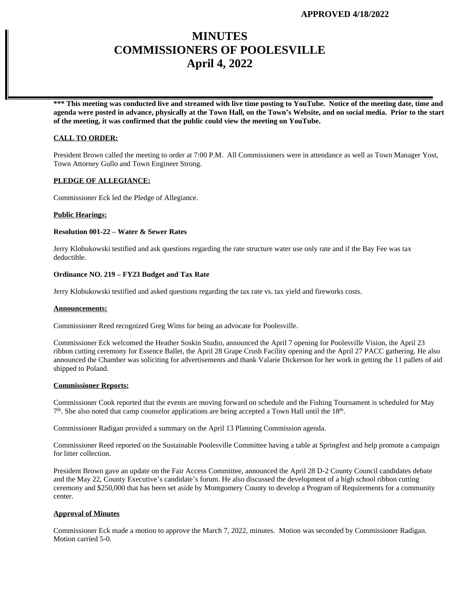# **MINUTES COMMISSIONERS OF POOLESVILLE April 4, 2022**

**\*\*\* This meeting was conducted live and streamed with live time posting to YouTube. Notice of the meeting date, time and agenda were posted in advance, physically at the Town Hall, on the Town's Website, and on social media. Prior to the start of the meeting, it was confirmed that the public could view the meeting on YouTube.**

## **CALL TO ORDER:**

President Brown called the meeting to order at 7:00 P.M. All Commissioners were in attendance as well as Town Manager Yost, Town Attorney Gullo and Town Engineer Strong.

## **PLEDGE OF ALLEGIANCE:**

Commissioner Eck led the Pledge of Allegiance.

## **Public Hearings:**

## **Resolution 001-22 – Water & Sewer Rates**

Jerry Klobukowski testified and ask questions regarding the rate structure water use only rate and if the Bay Fee was tax deductible.

#### **Ordinance NO. 219 – FY23 Budget and Tax Rate**

Jerry Klobukowski testified and asked questions regarding the tax rate vs. tax yield and fireworks costs.

#### **Announcements:**

Commissioner Reed recognized Greg Wims for being an advocate for Poolesville.

Commissioner Eck welcomed the Heather Soskin Studio, announced the April 7 opening for Poolesville Vision, the April 23 ribbon cutting ceremony for Essence Ballet, the April 28 Grape Crush Facility opening and the April 27 PACC gathering. He also announced the Chamber was soliciting for advertisements and thank Valarie Dickerson for her work in getting the 11 pallets of aid shipped to Poland.

## **Commissioner Reports:**

Commissioner Cook reported that the events are moving forward on schedule and the Fishing Tournament is scheduled for May  $7<sup>th</sup>$ . She also noted that camp counselor applications are being accepted a Town Hall until the 18<sup>th</sup>.

Commissioner Radigan provided a summary on the April 13 Planning Commission agenda.

Commissioner Reed reported on the Sustainable Poolesville Committee having a table at Springfest and help promote a campaign for litter collection.

President Brown gave an update on the Fair Access Committee, announced the April 28 D-2 County Council candidates debate and the May 22, County Executive's candidate's forum. He also discussed the development of a high school ribbon cutting ceremony and \$250,000 that has been set aside by Montgomery County to develop a Program of Requirements for a community center.

## **Approval of Minutes**

Commissioner Eck made a motion to approve the March 7, 2022, minutes. Motion was seconded by Commissioner Radigan. Motion carried 5-0.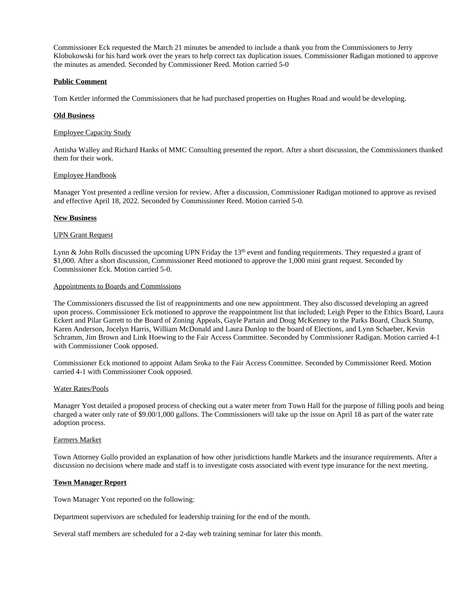Commissioner Eck requested the March 21 minutes be amended to include a thank you from the Commissioners to Jerry Klobukowski for his hard work over the years to help correct tax duplication issues. Commissioner Radigan motioned to approve the minutes as amended. Seconded by Commissioner Reed. Motion carried 5-0

## **Public Comment**

Tom Kettler informed the Commissioners that he had purchased properties on Hughes Road and would be developing.

## **Old Business**

#### Employee Capacity Study

Antisha Walley and Richard Hanks of MMC Consulting presented the report. After a short discussion, the Commissioners thanked them for their work.

#### Employee Handbook

Manager Yost presented a redline version for review. After a discussion, Commissioner Radigan motioned to approve as revised and effective April 18, 2022. Seconded by Commissioner Reed. Motion carried 5-0.

## **New Business**

#### UPN Grant Request

Lynn & John Rolls discussed the upcoming UPN Friday the 13<sup>th</sup> event and funding requirements. They requested a grant of \$1,000. After a short discussion, Commissioner Reed motioned to approve the 1,000 mini grant request. Seconded by Commissioner Eck. Motion carried 5-0.

#### Appointments to Boards and Commissions

The Commissioners discussed the list of reappointments and one new appointment. They also discussed developing an agreed upon process. Commissioner Eck motioned to approve the reappointment list that included; Leigh Peper to the Ethics Board, Laura Eckert and Pilar Garrett to the Board of Zoning Appeals, Gayle Partain and Doug McKenney to the Parks Board, Chuck Stump, Karen Anderson, Jocelyn Harris, William McDonald and Laura Dunlop to the board of Elections, and Lynn Schaeber, Kevin Schramm, Jim Brown and Link Hoewing to the Fair Access Committee. Seconded by Commissioner Radigan. Motion carried 4-1 with Commissioner Cook opposed.

Commissioner Eck motioned to appoint Adam Sroka to the Fair Access Committee. Seconded by Commissioner Reed. Motion carried 4-1 with Commissioner Cook opposed.

## Water Rates/Pools

Manager Yost detailed a proposed process of checking out a water meter from Town Hall for the purpose of filling pools and being charged a water only rate of \$9.00/1,000 gallons. The Commissioners will take up the issue on April 18 as part of the water rate adoption process.

## Farmers Market

Town Attorney Gullo provided an explanation of how other jurisdictions handle Markets and the insurance requirements. After a discussion no decisions where made and staff is to investigate costs associated with event type insurance for the next meeting.

#### **Town Manager Report**

Town Manager Yost reported on the following:

Department supervisors are scheduled for leadership training for the end of the month.

Several staff members are scheduled for a 2-day web training seminar for later this month.